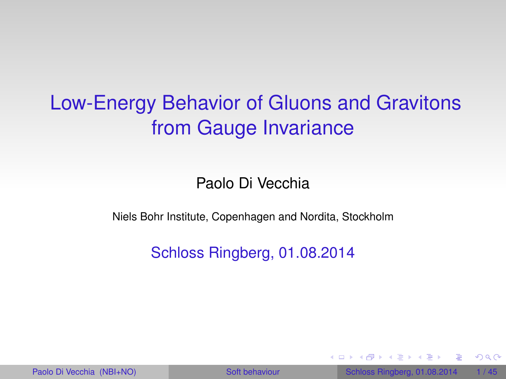# Low-Energy Behavior of Gluons and Gravitons from Gauge Invariance

Paolo Di Vecchia

Niels Bohr Institute, Copenhagen and Nordita, Stockholm

Schloss Ringberg, 01.08.2014

<span id="page-0-0"></span> $QQ$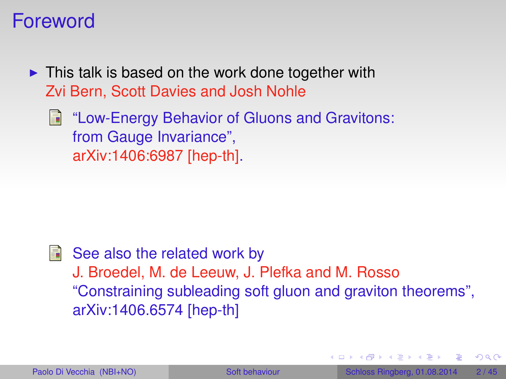### Foreword

- $\triangleright$  This talk is based on the work done together with Zvi Bern, Scott Davies and Josh Nohle
	- **E** "Low-Energy Behavior of Gluons and Gravitons: from Gauge Invariance", arXiv:1406:6987 [hep-th].

 $\blacksquare$  See also the related work by J. Broedel, M. de Leeuw, J. Plefka and M. Rosso "Constraining subleading soft gluon and graviton theorems", arXiv:1406.6574 [hep-th]

 $\Omega$ 

 $\sqrt{m}$   $\rightarrow$   $\sqrt{m}$   $\rightarrow$   $\sqrt{m}$   $\rightarrow$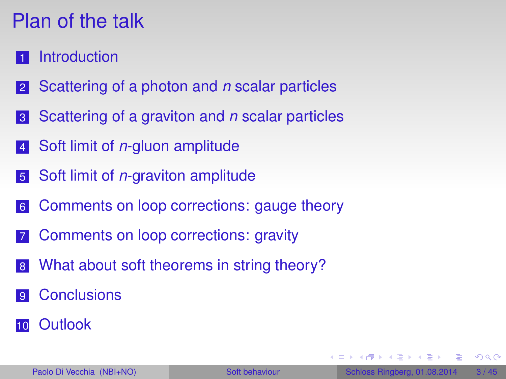# Plan of the talk

- **[Introduction](#page-3-0)**
- [Scattering of a photon and](#page-8-0) *n* scalar particles
- [Scattering of a graviton and](#page-15-0) *n* scalar particles
- Soft limit of *n*[-gluon amplitude](#page-23-0)
- Soft limit of *n*[-graviton amplitude](#page-30-0)
- [Comments on loop corrections: gauge theory](#page-34-0)
- [Comments on loop corrections: gravity](#page-37-0)
- [What about soft theorems in string theory?](#page-39-0)
- **[Conclusions](#page-43-0)**
- [Outlook](#page-44-0)

 $(0,1)$   $(0,1)$   $(0,1)$   $(1,1)$   $(1,1)$   $(1,1)$   $(1,1)$   $(1,1)$   $(1,1)$   $(1,1)$   $(1,1)$   $(1,1)$   $(1,1)$   $(1,1)$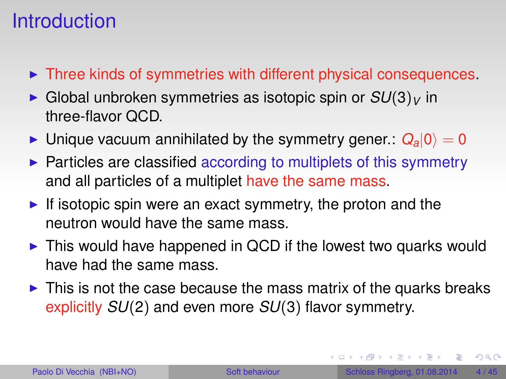## **Introduction**

- $\triangleright$  Three kinds of symmetries with different physical consequences.
- $\triangleright$  Global unbroken symmetries as isotopic spin or  $SU(3)_V$  in three-flavor QCD.
- If Unique vacuum annihilated by the symmetry gener.:  $Q_a|0\rangle = 0$
- $\triangleright$  Particles are classified according to multiplets of this symmetry and all particles of a multiplet have the same mass.
- If isotopic spin were an exact symmetry, the proton and the neutron would have the same mass.
- $\triangleright$  This would have happened in QCD if the lowest two quarks would have had the same mass.
- $\triangleright$  This is not the case because the mass matrix of the quarks breaks explicitly *SU*(2) and even more *SU*(3) flavor symmetry.

<span id="page-3-0"></span> $QQ$ 

 $(0,1)$   $(0,1)$   $(0,1)$   $(1,1)$   $(1,1)$   $(1,1)$   $(1,1)$   $(1,1)$   $(1,1)$   $(1,1)$   $(1,1)$   $(1,1)$   $(1,1)$   $(1,1)$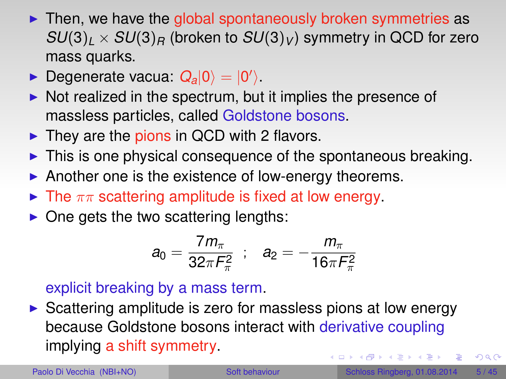- $\triangleright$  Then, we have the global spontaneously broken symmetries as  $SU(3)_l \times SU(3)_R$  (broken to  $SU(3)_V$ ) symmetry in QCD for zero mass quarks.
- $\blacktriangleright$  Degenerate vacua:  $Q_a|0\rangle = |0'\rangle$ .
- $\triangleright$  Not realized in the spectrum, but it implies the presence of massless particles, called Goldstone bosons.
- $\blacktriangleright$  They are the pions in QCD with 2 flavors.
- $\triangleright$  This is one physical consequence of the spontaneous breaking.
- Another one is the existence of low-energy theorems.
- $\blacktriangleright$  The  $\pi\pi$  scattering amplitude is fixed at low energy.
- $\triangleright$  One gets the two scattering lengths:

$$
a_0 = \frac{7m_\pi}{32\pi F_\pi^2} \;\; ; \ \ \, a_2 = -\frac{m_\pi}{16\pi F_\pi^2}
$$

#### explicit breaking by a mass term.

 $\triangleright$  Scattering amplitude is zero for massless pions at low energy because Goldstone bosons interact with derivative coupling implying a shift symmetry.  $(0,1)$   $(0,1)$   $(0,1)$   $(1,1)$   $(1,1)$   $(1,1)$   $(1,1)$   $(1,1)$   $(1,1)$   $(1,1)$   $(1,1)$   $(1,1)$   $(1,1)$   $(1,1)$ 

 $QQ$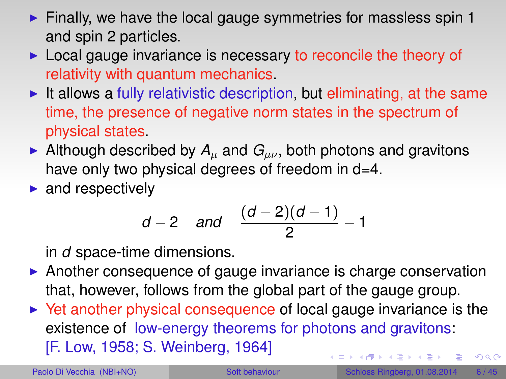- $\blacktriangleright$  Finally, we have the local gauge symmetries for massless spin 1 and spin 2 particles.
- $\triangleright$  Local gauge invariance is necessary to reconcile the theory of relativity with quantum mechanics.
- It allows a fully relativistic description, but eliminating, at the same time, the presence of negative norm states in the spectrum of physical states.
- Although described by  $A_\mu$  and  $G_{\mu\nu}$ , both photons and gravitons have only two physical degrees of freedom in d=4.
- $\blacktriangleright$  and respectively

$$
d-2
$$
 and  $\frac{(d-2)(d-1)}{2}-1$ 

in *d* space-time dimensions.

- $\triangleright$  Another consequence of gauge invariance is charge conservation that, however, follows from the global part of the gauge group.
- $\triangleright$  Yet another physical consequence of local gauge invariance is the existence of low-energy theorems for photons and gravitons: [F. Low, 1958; S. Weinberg, 1964]  $QQ$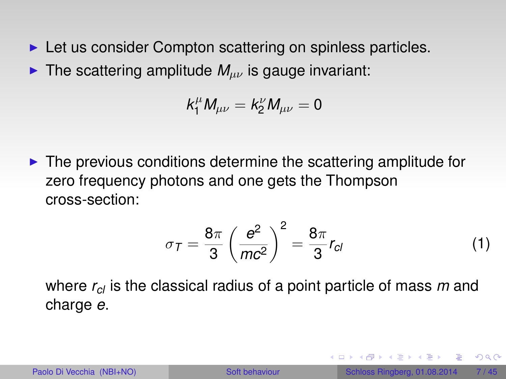- $\blacktriangleright$  Let us consider Compton scattering on spinless particles.
- **If** The scattering amplitude  $M_{\mu\nu}$  is gauge invariant:

$$
k_1^\mu M_{\mu\nu}=k_2^\nu M_{\mu\nu}=0
$$

 $\triangleright$  The previous conditions determine the scattering amplitude for zero frequency photons and one gets the Thompson cross-section:

$$
\sigma_{\mathcal{T}} = \frac{8\pi}{3} \left( \frac{e^2}{mc^2} \right)^2 = \frac{8\pi}{3} r_{cl} \tag{1}
$$

where *rcl* is the classical radius of a point particle of mass *m* and charge *e*.

 $QQQ$ 

 $(0,1)$   $(0,1)$   $(0,1)$   $(1,1)$   $(1,1)$   $(1,1)$   $(1,1)$   $(1,1)$   $(1,1)$   $(1,1)$   $(1,1)$   $(1,1)$   $(1,1)$   $(1,1)$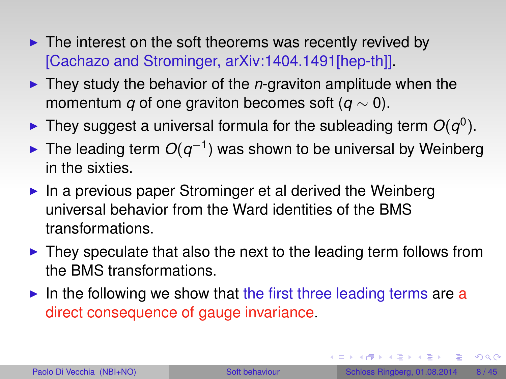- $\blacktriangleright$  The interest on the soft theorems was recently revived by [Cachazo and Strominger, arXiv:1404.1491[hep-th]].
- I They study the behavior of the *n*-graviton amplitude when the momentum *q* of one graviton becomes soft (*q* ∼ 0).
- $\blacktriangleright$  They suggest a universal formula for the subleading term  $O(q^0)$ .
- ► The leading term  $O(q^{-1})$  was shown to be universal by Weinberg in the sixties.
- $\blacktriangleright$  In a previous paper Strominger et al derived the Weinberg universal behavior from the Ward identities of the BMS transformations.
- $\blacktriangleright$  They speculate that also the next to the leading term follows from the BMS transformations.
- In the following we show that the first three leading terms are a direct consequence of gauge invariance.

в

<span id="page-7-0"></span> $\Omega$ 

4 ロ ト 4 何 ト 4 ヨ ト 4 ヨ ト -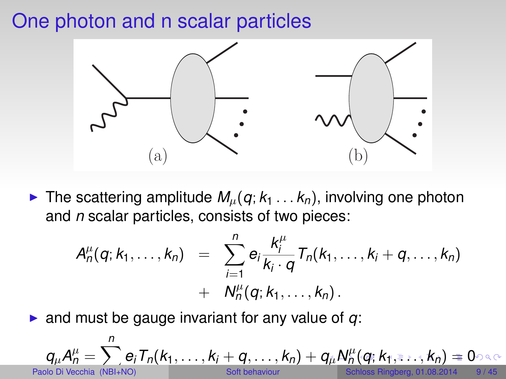### One photon and n scalar particles



If The scattering amplitude  $M_u(q; k_1 \ldots k_n)$ , involving one photon and *n* scalar particles, consists of two pieces:

<span id="page-8-0"></span>
$$
A_n^{\mu}(q;k_1,\ldots,k_n) = \sum_{i=1}^n e_i \frac{k_i^{\mu}}{k_i \cdot q} T_n(k_1,\ldots,k_i+q,\ldots,k_n) + N_n^{\mu}(q;k_1,\ldots,k_n).
$$

 $\triangleright$  and must be gauge invariant for any value of  $q$ :

$$
q_{\mu}A_{n}^{\mu} = \sum_{\text{Paolo Di Vecchia}}^{n} e_{i}T_{n}(k_{1},\ldots,k_{i}+q,\ldots,k_{n}) + q_{\mu}N_{n}^{\mu}(q; k_{1},\ldots,k_{n}) = 0
$$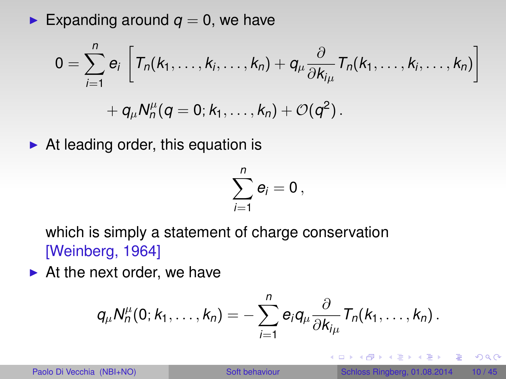Expanding around  $q = 0$ , we have

$$
0=\sum_{i=1}^n e_i\left[T_n(k_1,\ldots,k_i,\ldots,k_n)+q_\mu\frac{\partial}{\partial k_{i\mu}}T_n(k_1,\ldots,k_i,\ldots,k_n)\right]
$$
  
+ 
$$
q_\mu N_n^\mu(q=0;k_1,\ldots,k_n)+\mathcal{O}(q^2).
$$

 $\triangleright$  At leading order, this equation is

$$
\sum_{i=1}^n e_i=0\,,
$$

which is simply a statement of charge conservation [Weinberg, 1964]

 $\blacktriangleright$  At the next order, we have

$$
q_\mu N^\mu_n(0; k_1,\ldots, k_n) = -\sum_{i=1}^n e_i q_\mu \frac{\partial}{\partial k_{i\mu}} T_n(k_1,\ldots, k_n) .
$$

<span id="page-9-0"></span> $QQQ$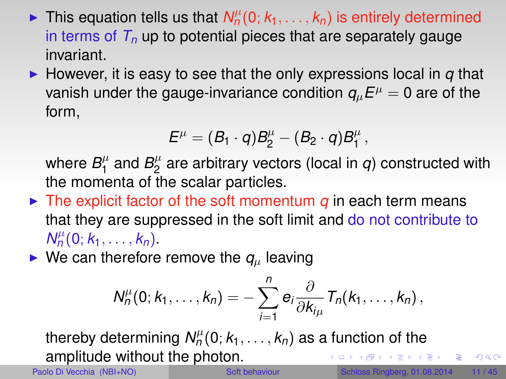- $\blacktriangleright$  This equation tells us that  $N_n^{\mu}(0; k_1, \ldots, k_n)$  is entirely determined in terms of *T<sup>n</sup>* up to potential pieces that are separately gauge invariant.
- $\blacktriangleright$  However, it is easy to see that the only expressions local in  $q$  that vanish under the gauge-invariance condition  $q_\mu E^\mu = 0$  are of the form,

$$
E^\mu=(B_1\cdot q)B_2^\mu-(B_2\cdot q)B_1^\mu\,,
$$

where  $B_1^\mu$  $B_1^{\mu}$  and  $B_2^{\mu}$  $\frac{\mu}{2}$  are arbitrary vectors (local in  $q$ ) constructed with the momenta of the scalar particles.

- $\triangleright$  The explicit factor of the soft momentum *q* in each term means that they are suppressed in the soft limit and do not contribute to  $N_n^{\mu}(0; k_1, \ldots, k_n)$ .
- $\triangleright$  We can therefore remove the  $q_\mu$  leaving

$$
N_n^{\mu}(0; k_1,\ldots,k_n)=-\sum_{i=1}^n e_i \frac{\partial}{\partial k_{i\mu}} T_n(k_1,\ldots,k_n),
$$

thereby determining  $\mathcal{N}_n^\mu(0; k_1, \ldots, k_n)$  as a function of the amplitude without the photon. K ロ ▶ K 御 ▶ K 君 ▶ K 君 ▶ ○ 君

 $QQ$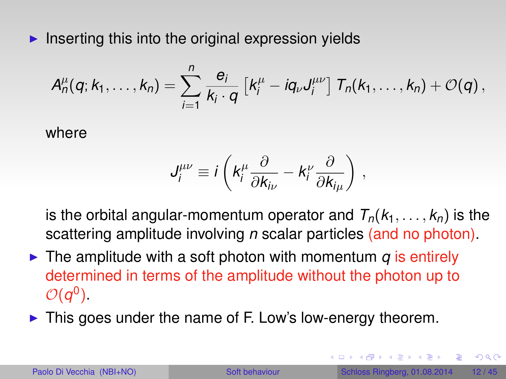$\blacktriangleright$  Inserting this into the original expression yields

$$
A_n^{\mu}(q;k_1,\ldots,k_n)=\sum_{i=1}^n\frac{e_i}{k_i\cdot q}\left[k_i^{\mu}-iq_{\nu}J_i^{\mu\nu}\right]T_n(k_1,\ldots,k_n)+\mathcal{O}(q)\,,
$$

where

$$
J^{\mu\nu}_i \equiv i \left( k_i^{\mu} \frac{\partial}{\partial k_{i\nu}} - k_i^{\nu} \frac{\partial}{\partial k_{i\mu}} \right) ,
$$

is the orbital angular-momentum operator and  $T_n(k_1, \ldots, k_n)$  is the scattering amplitude involving *n* scalar particles (and no photon).

- $\triangleright$  The amplitude with a soft photon with momentum *q* is entirely determined in terms of the amplitude without the photon up to  $\mathcal{O}(q^0)$ .
- $\triangleright$  This goes under the name of F. Low's low-energy theorem.

 $\Omega$ 

 $\sqrt{m}$   $\rightarrow$   $\sqrt{m}$   $\rightarrow$   $\sqrt{m}$   $\rightarrow$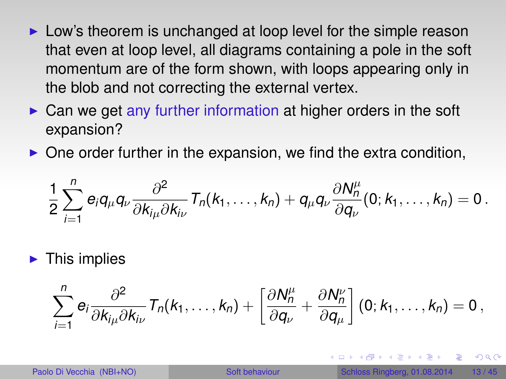- $\triangleright$  Low's theorem is unchanged at loop level for the simple reason that even at loop level, all diagrams containing a pole in the soft momentum are of the form shown, with loops appearing only in the blob and not correcting the external vertex.
- $\triangleright$  Can we get any further information at higher orders in the soft expansion?
- $\triangleright$  One order further in the expansion, we find the extra condition,

$$
\frac{1}{2}\sum_{i=1}^n e_i q_\mu q_\nu \frac{\partial^2}{\partial k_{i\mu} \partial k_{i\nu}} T_n(k_1,\ldots,k_n) + q_\mu q_\nu \frac{\partial N_n^\mu}{\partial q_\nu}(0;k_1,\ldots,k_n) = 0.
$$

 $\blacktriangleright$  This implies

$$
\sum_{i=1}^n e_i \frac{\partial^2}{\partial k_{i\mu} \partial k_{i\nu}} T_n(k_1,\ldots,k_n) + \left[\frac{\partial N_n^{\mu}}{\partial q_{\nu}} + \frac{\partial N_n^{\nu}}{\partial q_{\mu}}\right] (0;k_1,\ldots,k_n) = 0,
$$

 $\Omega$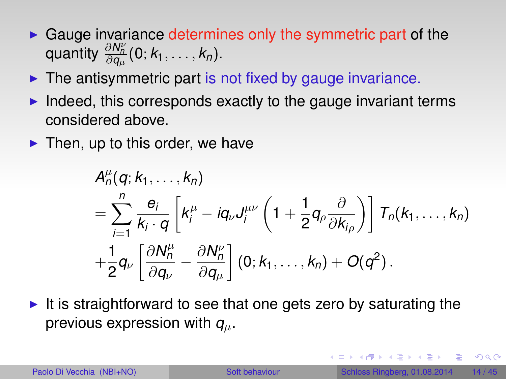- $\triangleright$  Gauge invariance determines only the symmetric part of the  $\alpha$  quantity  $\frac{\partial N_n^{\nu}}{\partial q_{\mu}}(0; k_1, \ldots, k_n)$ .
- $\blacktriangleright$  The antisymmetric part is not fixed by gauge invariance.
- $\blacktriangleright$  Indeed, this corresponds exactly to the gauge invariant terms considered above.
- $\blacktriangleright$  Then, up to this order, we have

$$
A_n^{\mu}(q; k_1, \ldots, k_n)
$$
  
= 
$$
\sum_{i=1}^n \frac{e_i}{k_i \cdot q} \left[ k_i^{\mu} - iq_{\nu} J_i^{\mu \nu} \left( 1 + \frac{1}{2} q_{\rho} \frac{\partial}{\partial k_{i\rho}} \right) \right] T_n(k_1, \ldots, k_n)
$$
  
+ 
$$
\frac{1}{2} q_{\nu} \left[ \frac{\partial N_n^{\mu}}{\partial q_{\nu}} - \frac{\partial N_n^{\nu}}{\partial q_{\mu}} \right] (0; k_1, \ldots, k_n) + O(q^2).
$$

It is straightforward to see that one gets zero by saturating the previous expression with *q*µ.

 $QQQ$ 

 $(0,1)$   $(0,1)$   $(0,1)$   $(1,1)$   $(1,1)$   $(1,1)$   $(1,1)$   $(1,1)$   $(1,1)$   $(1,1)$   $(1,1)$   $(1,1)$   $(1,1)$   $(1,1)$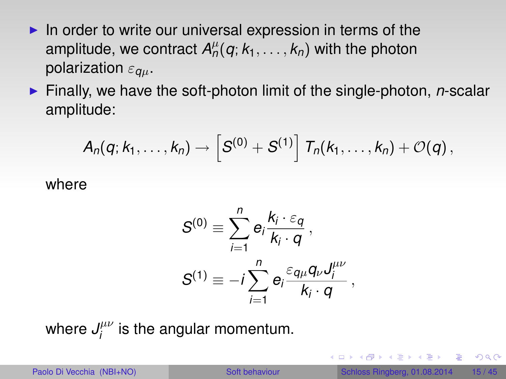- In order to write our universal expression in terms of the amplitude, we contract  $A^\mu_n(q;k_1,\ldots,k_n)$  with the photon polarization ε*q*µ.
- ► Finally, we have the soft-photon limit of the single-photon, *n*-scalar amplitude:

$$
\mathcal{A}_n(q;k_1,\ldots,k_n)\to \left[S^{(0)}+S^{(1)}\right]\, \mathcal{T}_n(k_1,\ldots,k_n)+\mathcal{O}(q)\,,
$$

where

$$
S^{(0)} \equiv \sum_{i=1}^{n} e_i \frac{k_i \cdot \varepsilon_q}{k_i \cdot q},
$$
  

$$
S^{(1)} \equiv -i \sum_{i=1}^{n} e_i \frac{\varepsilon_{q\mu} q_{\nu} J_i^{\mu \nu}}{k_i \cdot q},
$$

where  $J^{\mu\nu}_i$  $j^{\mu\nu}_i$  is the angular momentum.

<span id="page-14-0"></span> $QQQ$ 

 $(0.123 \times 10^{-14} \text{ m}) \times 10^{-14} \text{ m} \times 10^{-14} \text{ m}$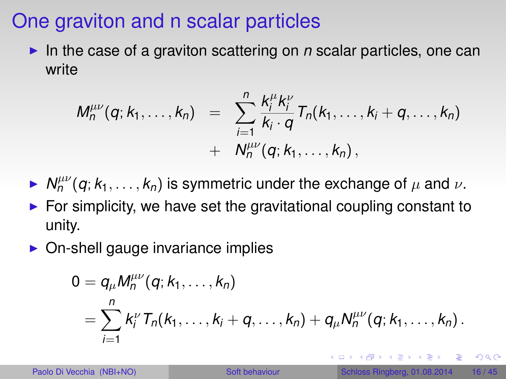## One graviton and n scalar particles

In the case of a graviton scattering on  $n$  scalar particles, one can write

$$
M_n^{\mu\nu}(q;k_1,\ldots,k_n) = \sum_{i=1}^n \frac{k_i^{\mu}k_i^{\nu}}{k_i \cdot q} T_n(k_1,\ldots,k_i+q,\ldots,k_n) + N_n^{\mu\nu}(q;k_1,\ldots,k_n),
$$

- $\blacktriangleright N_n^{\mu\nu}(q;k_1,\ldots,k_n)$  is symmetric under the exchange of  $\mu$  and  $\nu$ .
- $\triangleright$  For simplicity, we have set the gravitational coupling constant to unity.
- $\triangleright$  On-shell gauge invariance implies

$$
0 = q_{\mu} M_n^{\mu\nu}(q; k_1, \ldots, k_n)
$$
  
= 
$$
\sum_{i=1}^n k_i^{\nu} T_n(k_1, \ldots, k_i + q, \ldots, k_n) + q_{\mu} N_n^{\mu\nu}(q; k_1, \ldots, k_n).
$$

<span id="page-15-0"></span> $\Omega$ 

 $\mathbf{A} \oplus \mathbf{B}$   $\mathbf{A} \oplus \mathbf{B}$   $\mathbf{A} \oplus \mathbf{B}$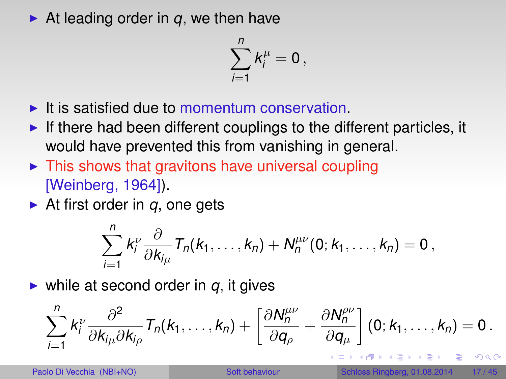$\blacktriangleright$  At leading order in *q*, we then have

$$
\sum_{i=1}^n k_i^\mu = 0\,,
$$

- $\blacktriangleright$  It is satisfied due to momentum conservation.
- If there had been different couplings to the different particles, it would have prevented this from vanishing in general.
- $\triangleright$  This shows that gravitons have universal coupling [Weinberg, 1964]).
- $\triangleright$  At first order in *q*, one gets

<span id="page-16-0"></span>
$$
\sum_{i=1}^n k_i^{\nu} \frac{\partial}{\partial k_{i\mu}} T_n(k_1,\ldots,k_n) + N_n^{\mu\nu}(0;k_1,\ldots,k_n) = 0,
$$

 $\triangleright$  while at second order in  $q$ , it gives

$$
\sum_{i=1}^n k_i^{\nu} \frac{\partial^2}{\partial k_{i\mu} \partial k_{i\rho}} T_n(k_1,\ldots,k_n) + \left[\frac{\partial N_n^{\mu\nu}}{\partial q_{\rho}} + \frac{\partial N_n^{\rho\nu}}{\partial q_{\mu}}\right] (0;k_1,\ldots,k_n) = 0.
$$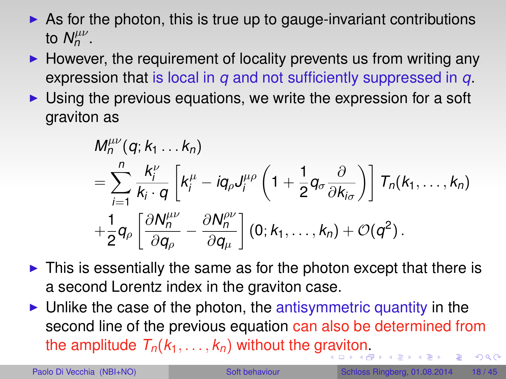- $\triangleright$  As for the photon, this is true up to gauge-invariant contributions to  $N_n^{\mu\nu}$ .
- $\blacktriangleright$  However, the requirement of locality prevents us from writing any expression that is local in *q* and not sufficiently suppressed in *q*.
- $\triangleright$  Using the previous equations, we write the expression for a soft graviton as

<span id="page-17-0"></span>
$$
M_n^{\mu\nu}(q; k_1 \ldots k_n)
$$
  
= 
$$
\sum_{i=1}^n \frac{k_i^{\nu}}{k_i \cdot q} \left[ k_i^{\mu} - iq_{\rho} J_i^{\mu\rho} \left( 1 + \frac{1}{2} q_{\sigma} \frac{\partial}{\partial k_{i\sigma}} \right) \right] T_n(k_1, \ldots, k_n)
$$
  
+ 
$$
\frac{1}{2} q_{\rho} \left[ \frac{\partial N_n^{\mu\nu}}{\partial q_{\rho}} - \frac{\partial N_n^{\rho\nu}}{\partial q_{\mu}} \right] (0; k_1, \ldots, k_n) + \mathcal{O}(q^2).
$$

- $\triangleright$  This is essentially the same as for the photon except that there is a second Lorentz index in the graviton case.
- $\triangleright$  Unlike the case of the photon, the antisymmetric quantity in the second line of the previous equation can also be determined from the amplitude  $T_n(k_1, \ldots, k_n)$  $T_n(k_1, \ldots, k_n)$  $T_n(k_1, \ldots, k_n)$  without the g[rav](#page-16-0)[ito](#page-18-0)n[.](#page-17-0)  $QQ$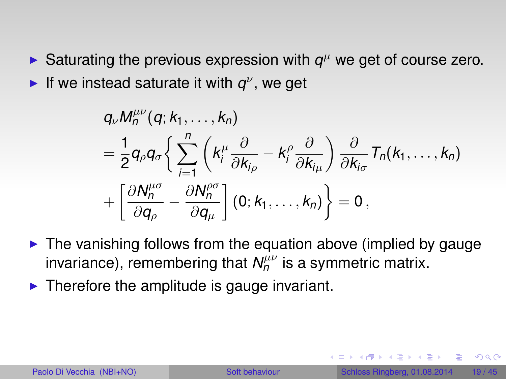Saturating the previous expression with  $q^{\mu}$  we get of course zero. If we instead saturate it with  $q^{\nu}$ , we get

$$
q_{\nu}M_{n}^{\mu\nu}(q;k_{1},\ldots,k_{n})
$$
\n
$$
=\frac{1}{2}q_{\rho}q_{\sigma}\left\{\sum_{i=1}^{n}\left(k_{i}^{\mu}\frac{\partial}{\partial k_{i\rho}}-k_{i}^{\rho}\frac{\partial}{\partial k_{i\mu}}\right)\frac{\partial}{\partial k_{i\sigma}}T_{n}(k_{1},\ldots,k_{n})+\left[\frac{\partial N_{n}^{\mu\sigma}}{\partial q_{\rho}}-\frac{\partial N_{n}^{\rho\sigma}}{\partial q_{\mu}}\right](0;k_{1},\ldots,k_{n})\right\}=0,
$$

- $\blacktriangleright$  The vanishing follows from the equation above (implied by gauge invariance), remembering that  $N^{\mu\nu}_n$  is a symmetric matrix.
- $\blacktriangleright$  Therefore the amplitude is gauge invariant.

<span id="page-18-0"></span> $\Omega$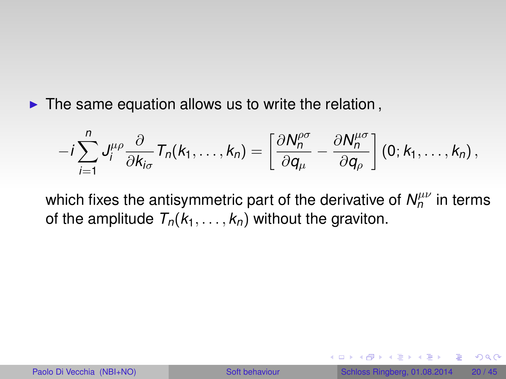$\blacktriangleright$  The same equation allows us to write the relation,

$$
-i\sum_{i=1}^n J_i^{\mu\rho} \frac{\partial}{\partial k_{i\sigma}} T_n(k_1,\ldots,k_n) = \left[\frac{\partial N_n^{\rho\sigma}}{\partial q_\mu} - \frac{\partial N_n^{\mu\sigma}}{\partial q_\rho}\right] (0;k_1,\ldots,k_n) ,
$$

which fixes the antisymmetric part of the derivative of  $N^{\mu\nu}_{n}$  in terms of the amplitude  $T_n(k_1, \ldots, k_n)$  without the graviton.

 $QQQ$ 

 $A \oplus A \oplus A \oplus A \oplus A$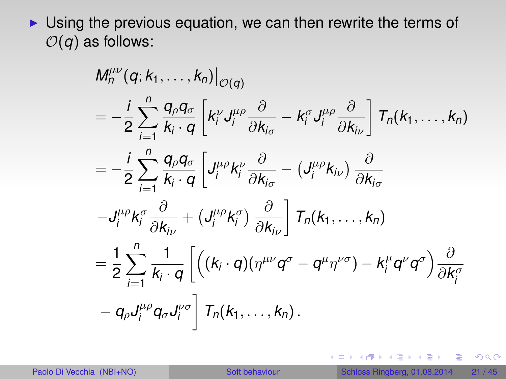$\triangleright$  Using the previous equation, we can then rewrite the terms of  $O(q)$  as follows:

$$
M_n^{\mu\nu}(q; k_1, \ldots, k_n)|_{\mathcal{O}(q)}
$$
\n
$$
= -\frac{i}{2} \sum_{i=1}^n \frac{q_\rho q_\sigma}{k_i \cdot q} \left[ k_i^\nu J_i^{\mu\rho} \frac{\partial}{\partial k_{i\sigma}} - k_i^\sigma J_i^{\mu\rho} \frac{\partial}{\partial k_{i\nu}} \right] T_n(k_1, \ldots, k_n)
$$
\n
$$
= -\frac{i}{2} \sum_{i=1}^n \frac{q_\rho q_\sigma}{k_i \cdot q} \left[ J_i^{\mu\rho} k_i^\nu \frac{\partial}{\partial k_{i\sigma}} - (J_i^{\mu\rho} k_{i\nu}) \frac{\partial}{\partial k_{i\sigma}} \right.
$$
\n
$$
-J_i^{\mu\rho} k_i^\sigma \frac{\partial}{\partial k_{i\nu}} + (J_i^{\mu\rho} k_i^\sigma) \frac{\partial}{\partial k_{i\nu}} \right] T_n(k_1, \ldots, k_n)
$$
\n
$$
= \frac{1}{2} \sum_{i=1}^n \frac{1}{k_i \cdot q} \left[ \left( (k_i \cdot q)(\eta^{\mu\nu} q^\sigma - q^\mu \eta^{\nu\sigma}) - k_i^\mu q^\nu q^\sigma \right) \frac{\partial}{\partial k_i^\sigma} \right.
$$
\n
$$
-q_\rho J_i^{\mu\rho} q_\sigma J_i^{\nu\sigma} \right] T_n(k_1, \ldots, k_n).
$$

重

 $299$ 

イロト 不優 トメ 差 トメ 差 トー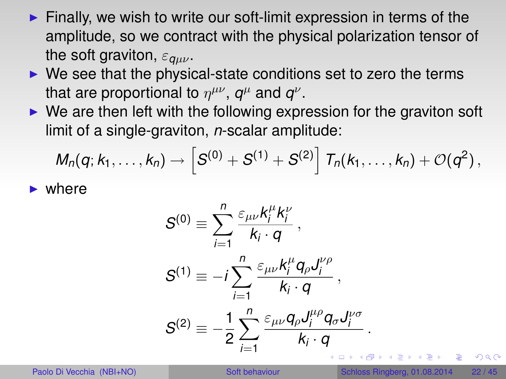- $\blacktriangleright$  Finally, we wish to write our soft-limit expression in terms of the amplitude, so we contract with the physical polarization tensor of the soft graviton,  $\varepsilon_{q\mu\nu}$ .
- $\triangleright$  We see that the physical-state conditions set to zero the terms that are proportional to  $\eta^{\mu\nu}$ ,  $\boldsymbol{q}^{\mu}$  and  $\boldsymbol{q}^{\nu}$ .
- $\triangleright$  We are then left with the following expression for the graviton soft limit of a single-graviton, *n*-scalar amplitude:

$$
M_n(q;k_1,\ldots,k_n)\to \left[S^{(0)}+S^{(1)}+S^{(2)}\right]T_n(k_1,\ldots,k_n)+\mathcal{O}(q^2)\,,
$$

 $\blacktriangleright$  where

$$
S^{(0)} = \sum_{i=1}^{n} \frac{\varepsilon_{\mu\nu} k_i^{\mu} k_i^{\nu}}{k_i \cdot q},
$$
  
\n
$$
S^{(1)} = -i \sum_{i=1}^{n} \frac{\varepsilon_{\mu\nu} k_i^{\mu} q_{\rho} J_i^{\nu \rho}}{k_i \cdot q},
$$
  
\n
$$
S^{(2)} = -\frac{1}{2} \sum_{i=1}^{n} \frac{\varepsilon_{\mu\nu} q_{\rho} J_i^{\mu \rho} q_{\sigma} J_i^{\nu \sigma}}{k_i \cdot q}.
$$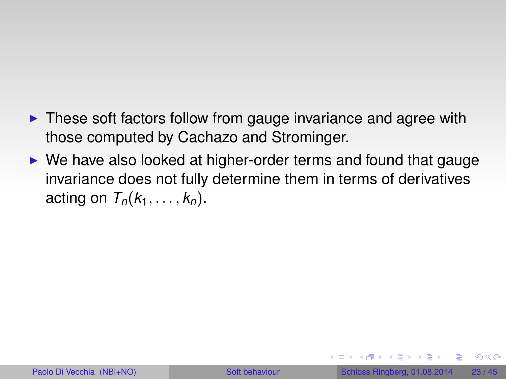- $\triangleright$  These soft factors follow from gauge invariance and agree with those computed by Cachazo and Strominger.
- $\triangleright$  We have also looked at higher-order terms and found that gauge invariance does not fully determine them in terms of derivatives acting on  $T_n(k_1, \ldots, k_n)$ .

 $\Omega$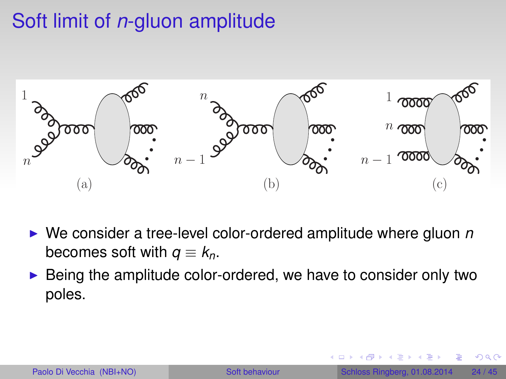# Soft limit of *n*-gluon amplitude



- ▶ We consider a tree-level color-ordered amplitude where gluon *n* becomes soft with  $q \equiv k_n$ .
- $\triangleright$  Being the amplitude color-ordered, we have to consider only two poles.

<span id="page-23-0"></span> $QQ$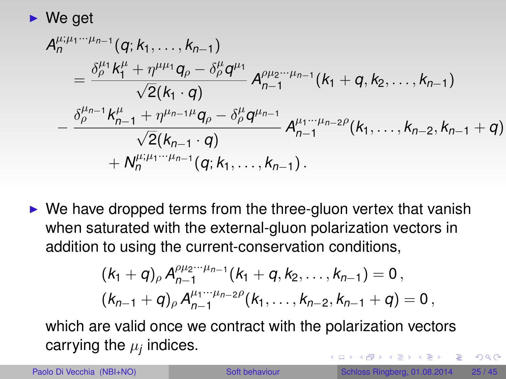$$
\blacktriangleright
$$
 We get

$$
A_{n}^{\mu;\mu_{1}\cdots\mu_{n-1}}(q;k_{1},\ldots,k_{n-1})
$$
\n
$$
= \frac{\delta_{\rho}^{\mu_{1}}k_{1}^{\mu} + \eta^{\mu\mu_{1}}q_{\rho} - \delta_{\rho}^{\mu}q^{\mu_{1}}}{\sqrt{2}(k_{1}\cdot q)} A_{n-1}^{\rho\mu_{2}\cdots\mu_{n-1}}(k_{1}+q,k_{2},\ldots,k_{n-1})
$$
\n
$$
- \frac{\delta_{\rho}^{\mu_{n-1}}k_{n-1}^{\mu} + \eta^{\mu_{n-1}\mu}q_{\rho} - \delta_{\rho}^{\mu}q^{\mu_{n-1}}}{\sqrt{2}(k_{n-1}\cdot q)} A_{n-1}^{\mu_{1}\cdots\mu_{n-2}\rho}(k_{1},\ldots,k_{n-2},k_{n-1}+q)
$$
\n
$$
+ N_{n}^{\mu;\mu_{1}\cdots\mu_{n-1}}(q;k_{1},\ldots,k_{n-1}).
$$

 $\triangleright$  We have dropped terms from the three-gluon vertex that vanish when saturated with the external-gluon polarization vectors in addition to using the current-conservation conditions,

$$
(k_1+q)_{\rho} A_{n-1}^{\rho\mu_2\cdots\mu_{n-1}}(k_1+q, k_2, \ldots, k_{n-1}) = 0,
$$
  

$$
(k_{n-1}+q)_{\rho} A_{n-1}^{\mu_1\cdots\mu_{n-2}\rho}(k_1, \ldots, k_{n-2}, k_{n-1}+q) = 0,
$$

which are valid once we contract with the polarization vectors carrying the  $\mu_j$  indices. 4 (D) 3 (5) 3 (5) 3 (5)

 $\Omega$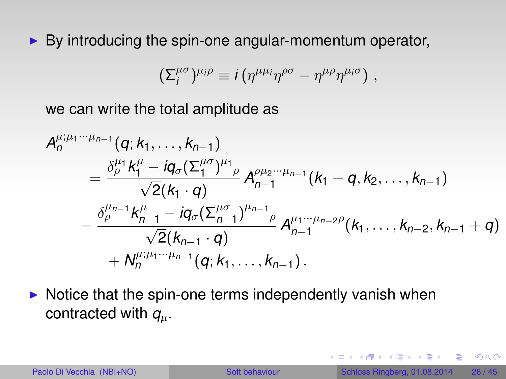$\triangleright$  By introducing the spin-one angular-momentum operator,

$$
(\Sigma_i^{\mu\sigma})^{\mu_i\rho} \equiv i(\eta^{\mu\mu_i}\eta^{\rho\sigma} - \eta^{\mu\rho}\eta^{\mu_i\sigma}) \; ,
$$

we can write the total amplitude as

$$
A_n^{\mu;\mu_1\cdots\mu_{n-1}}(q;k_1,\ldots,k_{n-1})
$$
  
= 
$$
\frac{\delta_{\rho}^{\mu_1}k_1^{\mu}-iq_{\sigma}(\Sigma_1^{\mu\sigma})^{\mu_1}{}_{\rho}}{\sqrt{2}(k_1\cdot q)}A_{n-1}^{\rho\mu_2\cdots\mu_{n-1}}(k_1+q,k_2,\ldots,k_{n-1})
$$
  
- 
$$
\frac{\delta_{\rho}^{\mu_{n-1}}k_{n-1}^{\mu}-iq_{\sigma}(\Sigma_{n-1}^{\mu\sigma})^{\mu_{n-1}}{}_{\rho}}{\sqrt{2}(k_{n-1}\cdot q)}A_{n-1}^{\mu_1\cdots\mu_{n-2}\rho}(k_1,\ldots,k_{n-2},k_{n-1}+q)
$$
  
+ 
$$
N_n^{\mu;\mu_1\cdots\mu_{n-1}}(q;k_1,\ldots,k_{n-1}).
$$

 $\triangleright$  Notice that the spin-one terms independently vanish when contracted with  $q_\mu$ .

 $QQ$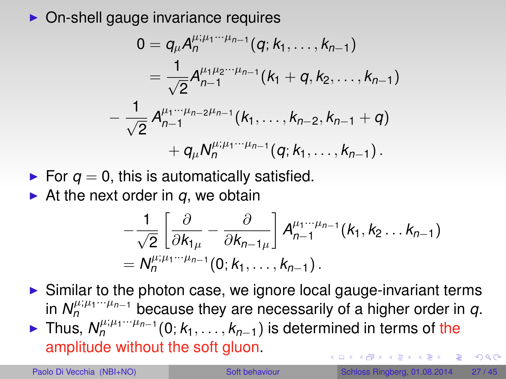$\triangleright$  On-shell gauge invariance requires

$$
0 = q_{\mu} A_{n}^{\mu;\mu_{1} \cdots \mu_{n-1}}(q; k_{1}, \ldots, k_{n-1})
$$
\n
$$
= \frac{1}{\sqrt{2}} A_{n-1}^{\mu_{1}\mu_{2} \cdots \mu_{n-1}}(k_{1} + q, k_{2}, \ldots, k_{n-1})
$$
\n
$$
- \frac{1}{\sqrt{2}} A_{n-1}^{\mu_{1} \cdots \mu_{n-2}\mu_{n-1}}(k_{1}, \ldots, k_{n-2}, k_{n-1} + q)
$$
\n
$$
+ q_{\mu} N_{n}^{\mu;\mu_{1} \cdots \mu_{n-1}}(q; k_{1}, \ldots, k_{n-1}).
$$

For  $q = 0$ , this is automatically satisfied.

 $\triangleright$  At the next order in *q*, we obtain

$$
-\frac{1}{\sqrt{2}}\left[\frac{\partial}{\partial k_{1\mu}}-\frac{\partial}{\partial k_{n-1\mu}}\right]A_{n-1}^{\mu_1\cdots\mu_{n-1}}(k_1,k_2\ldots k_{n-1})
$$
  
=  $N_n^{\mu;\mu_1\cdots\mu_{n-1}}(0;k_1,\ldots,k_{n-1}).$ 

 $\triangleright$  Similar to the photon case, we ignore local gauge-invariant terms in  $N_n^{\mu;\mu_1\cdots\mu_{n-1}}$  because they are necessarily of a higher order in  $q$ . ► Thus,  $N_n^{\mu;\mu_1\cdots\mu_{n-1}}(0;k_1,\ldots,k_{n-1})$  is determined in terms of the amplitude without the soft gluon.  $QQ$ 

イロト イ押ト イヨト イヨ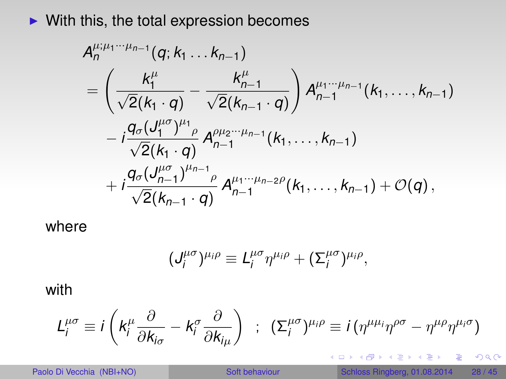$\blacktriangleright$  With this, the total expression becomes

$$
A_{n}^{\mu;\mu_{1}\cdots\mu_{n-1}}(q;k_{1}\ldots k_{n-1})
$$
\n
$$
= \left(\frac{k_{1}^{\mu}}{\sqrt{2}(k_{1}\cdot q)} - \frac{k_{n-1}^{\mu}}{\sqrt{2}(k_{n-1}\cdot q)}\right) A_{n-1}^{\mu_{1}\cdots\mu_{n-1}}(k_{1},\ldots,k_{n-1})
$$
\n
$$
-i\frac{q_{\sigma}(J_{1}^{\mu\sigma})^{\mu_{1}}\rho}{\sqrt{2}(k_{1}\cdot q)} A_{n-1}^{\rho\mu_{2}\cdots\mu_{n-1}}(k_{1},\ldots,k_{n-1})
$$
\n
$$
+i\frac{q_{\sigma}(J_{n-1}^{\mu\sigma})^{\mu_{n-1}}\rho}{\sqrt{2}(k_{n-1}\cdot q)} A_{n-1}^{\mu_{1}\cdots\mu_{n-2}\rho}(k_{1},\ldots,k_{n-1}) + \mathcal{O}(q),
$$

where

$$
(J_i^{\mu\sigma})^{\mu_i\rho}\equiv L_i^{\mu\sigma}\eta^{\mu_i\rho}+(\Sigma_i^{\mu\sigma})^{\mu_i\rho},
$$

with

$$
L_i^{\mu\sigma} \equiv i \left( k_i^{\mu} \frac{\partial}{\partial k_{i\sigma}} - k_i^{\sigma} \frac{\partial}{\partial k_{i\mu}} \right) ; \ \ (\Sigma_i^{\mu\sigma})^{\mu_i\rho} \equiv i \left( \eta^{\mu\mu_i} \eta^{\rho\sigma} - \eta^{\mu\rho} \eta^{\mu_i\sigma} \right)
$$

重

 $299$ 

(ロトイ部)→ (唐)→ (唐)→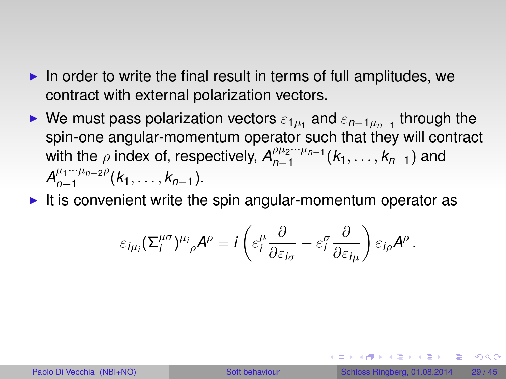- $\blacktriangleright$  In order to write the final result in terms of full amplitudes, we contract with external polarization vectors.
- ► We must pass polarization vectors  $\varepsilon_{1\mu_1}$  and  $\varepsilon_{n-1\mu_{n-1}}$  through the spin-one angular-momentum operator such that they will contract with the  $\rho$  index of, respectively,  $A_{n-1}^{\rho\mu_2\cdots\mu_{n-1}}$ *n*−1 (*k*1, . . . , *kn*−1) and  $A_{n-1}^{\mu_1\cdots\mu_{n-2}\rho}$ *n*−1 (*k*1, . . . , *kn*−1).
- $\blacktriangleright$  It is convenient write the spin angular-momentum operator as

$$
\varepsilon_{i\mu_i}(\Sigma_i^{\mu\sigma})^{\mu_i}{}_{\rho}\mathcal{A}^{\rho}=i\left(\varepsilon_i^{\mu}\frac{\partial}{\partial\varepsilon_{i\sigma}}-\varepsilon_i^{\sigma}\frac{\partial}{\partial\varepsilon_{i\mu}}\right)\varepsilon_{i\rho}\mathcal{A}^{\rho}.
$$

 $\Omega$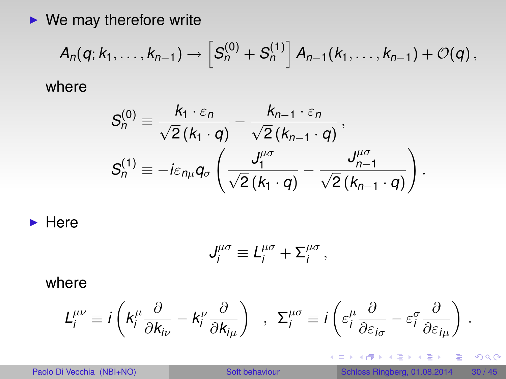$\blacktriangleright$  We may therefore write

$$
A_n(q;k_1,\ldots,k_{n-1})\to \left[S_n^{(0)}+S_n^{(1)}\right]A_{n-1}(k_1,\ldots,k_{n-1})+O(q),
$$

where

$$
S_n^{(0)} \equiv \frac{k_1 \cdot \varepsilon_n}{\sqrt{2}(k_1 \cdot q)} - \frac{k_{n-1} \cdot \varepsilon_n}{\sqrt{2}(k_{n-1} \cdot q)},
$$
  

$$
S_n^{(1)} \equiv -i\varepsilon_{n\mu}q_\sigma \left(\frac{J_1^{\mu\sigma}}{\sqrt{2}(k_1 \cdot q)} - \frac{J_{n-1}^{\mu\sigma}}{\sqrt{2}(k_{n-1} \cdot q)}\right).
$$

 $\blacktriangleright$  Here

$$
J_i^{\mu\sigma} \equiv L_i^{\mu\sigma} + \Sigma_i^{\mu\sigma},
$$

where

$$
L_i^{\mu\nu} \equiv i \left( k_i^{\mu} \frac{\partial}{\partial k_{i\nu}} - k_i^{\nu} \frac{\partial}{\partial k_{i\mu}} \right) , \Sigma_i^{\mu\sigma} \equiv i \left( \varepsilon_i^{\mu} \frac{\partial}{\partial \varepsilon_{i\sigma}} - \varepsilon_i^{\sigma} \frac{\partial}{\partial \varepsilon_{i\mu}} \right)
$$

 $2990$ 

.

重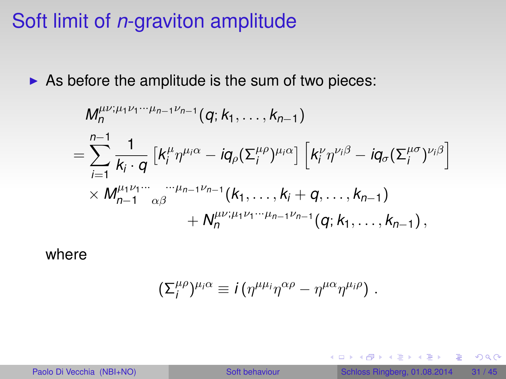### Soft limit of *n*-graviton amplitude

 $\triangleright$  As before the amplitude is the sum of two pieces:

$$
M_n^{\mu\nu;\mu_1\nu_1\cdots\mu_{n-1}\nu_{n-1}}(q;k_1,\ldots,k_{n-1})
$$
  
= 
$$
\sum_{i=1}^{n-1} \frac{1}{k_i \cdot q} \left[ k_i^{\mu} \eta^{\mu_i \alpha} - i q_{\rho} (\Sigma_i^{\mu \rho})^{\mu_i \alpha} \right] \left[ k_i^{\nu} \eta^{\nu_i \beta} - i q_{\sigma} (\Sigma_i^{\mu \sigma})^{\nu_i \beta} \right]
$$
  

$$
\times M_{n-1}^{\mu_1 \nu_1 \cdots} \alpha^{\beta} \qquad \qquad + N_n^{\mu \nu; \mu_1 \nu_1 \cdots \mu_{n-1} \nu_{n-1}}(q;k_1,\ldots,k_{n-1}),
$$

where

$$
(\Sigma_i^{\mu\rho})^{\mu_i\alpha}\equiv i\left(\eta^{\mu\mu_i}\eta^{\alpha\rho}-\eta^{\mu\alpha}\eta^{\mu_i\rho}\right)\,.
$$

重

<span id="page-30-0"></span> $2990$ 

イロト 不優 トメ 差 トメ 差 トー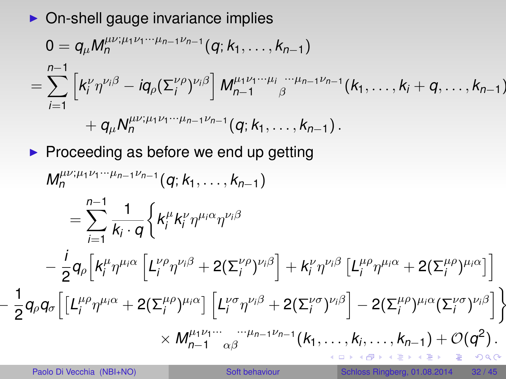$\triangleright$  On-shell gauge invariance implies

$$
0 = q_{\mu} M_n^{\mu\nu;\mu_1\nu_1\cdots\mu_{n-1}\nu_{n-1}}(q; k_1,\ldots,k_{n-1})
$$
  
= 
$$
\sum_{i=1}^{n-1} \left[ k_i^{\nu} \eta^{\nu_i \beta} - i q_{\rho} (\Sigma_i^{\nu \rho})^{\nu_i \beta} \right] M_{n-1}^{\mu_1 \nu_1\cdots\mu_i} \int_{\beta}^{\cdots\mu_{n-1} \nu_{n-1}} (k_1,\ldots,k_i+q,\ldots,k_{n-1})
$$
  
+ 
$$
q_{\mu} N_n^{\mu\nu;\mu_1 \nu_1\cdots\mu_{n-1} \nu_{n-1}}(q; k_1,\ldots,k_{n-1}).
$$

 $\blacktriangleright$  Proceeding as before we end up getting

$$
M_n^{\mu\nu;\mu_1\nu_1\cdots\mu_{n-1}\nu_{n-1}}(q;k_1,\ldots,k_{n-1})
$$
\n
$$
= \sum_{i=1}^{n-1} \frac{1}{k_i \cdot q} \Big\{ k_i^{\mu} k_i^{\nu} \eta^{\mu_i \alpha} \eta^{\nu_i \beta}
$$
\n
$$
- \frac{i}{2} q_\rho \Big[ k_i^{\mu} \eta^{\mu_i \alpha} \Big[ L_i^{\nu \rho} \eta^{\nu_i \beta} + 2(\Sigma_i^{\nu \rho})^{\nu_i \beta} \Big] + k_i^{\nu} \eta^{\nu_i \beta} \Big[ L_i^{\mu \rho} \eta^{\mu_i \alpha} + 2(\Sigma_i^{\mu \rho})^{\mu_i \alpha} \Big] \Big]
$$
\n
$$
\frac{1}{2} q_\rho q_\sigma \Big[ \Big[L_i^{\mu \rho} \eta^{\mu_i \alpha} + 2(\Sigma_i^{\mu \rho})^{\mu_i \alpha} \Big] \Big[ L_i^{\nu \sigma} \eta^{\nu_i \beta} + 2(\Sigma_i^{\nu \sigma})^{\nu_i \beta} \Big] - 2(\Sigma_i^{\mu \rho})^{\mu_i \alpha} (\Sigma_i^{\nu \sigma})^{\nu_i \beta} \Big] \Big\}
$$
\n
$$
\times M_{n-1}^{\mu_1 \nu_1 \cdots \cdots \mu_{n-1} \nu_{n-1}}(k_1, \ldots, k_i, \ldots, k_{n-1}) + \mathcal{O}(q^2).
$$

−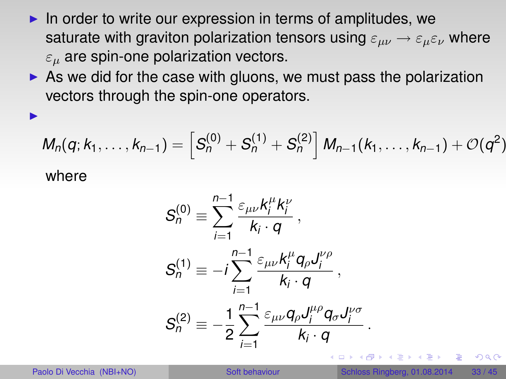- $\blacktriangleright$  In order to write our expression in terms of amplitudes, we saturate with graviton polarization tensors using  $\varepsilon_{\mu\nu} \rightarrow \varepsilon_{\mu} \varepsilon_{\nu}$  where  $\varepsilon_{\mu}$  are spin-one polarization vectors.
- $\triangleright$  As we did for the case with gluons, we must pass the polarization vectors through the spin-one operators.

$$
M_n(q; k_1, \ldots, k_{n-1}) = \left[S_n^{(0)} + S_n^{(1)} + S_n^{(2)}\right] M_{n-1}(k_1, \ldots, k_{n-1}) + \mathcal{O}(q^2)
$$
  
where

$$
S_n^{(0)} \equiv \sum_{i=1}^{n-1} \frac{\varepsilon_{\mu\nu} k_i^{\mu} k_i^{\nu}}{k_i \cdot q},
$$
  
\n
$$
S_n^{(1)} \equiv -i \sum_{i=1}^{n-1} \frac{\varepsilon_{\mu\nu} k_i^{\mu} q_{\rho} J_i^{\nu \rho}}{k_i \cdot q},
$$
  
\n
$$
S_n^{(2)} \equiv -\frac{1}{2} \sum_{i=1}^{n-1} \frac{\varepsilon_{\mu\nu} q_{\rho} J_i^{\mu \rho} q_{\sigma} J_i^{\nu \sigma}}{k_i \cdot q}.
$$

I

 $\Omega$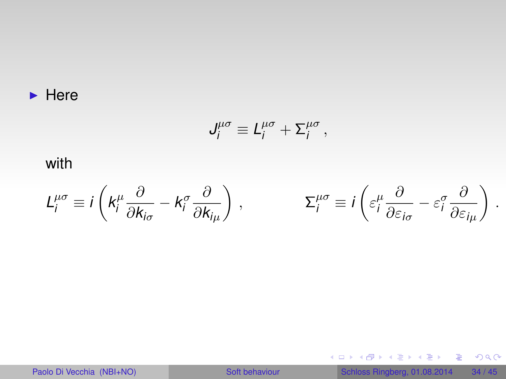#### $\blacktriangleright$  Here

$$
J^{\mu\sigma}_i \equiv L^{\mu\sigma}_i + \Sigma^{\mu\sigma}_i,
$$

### with

$$
L_i^{\mu\sigma} \equiv i \left( k_i^{\mu} \frac{\partial}{\partial k_{i\sigma}} - k_i^{\sigma} \frac{\partial}{\partial k_{i\mu}} \right) , \qquad \qquad \Sigma_i^{\mu\sigma} \equiv i \left( \varepsilon_i^{\mu} \frac{\partial}{\partial \varepsilon_{i\sigma}} - \varepsilon_i^{\sigma} \frac{\partial}{\partial \varepsilon_{i\mu}} \right)
$$

Paolo Di Vecchia (NBI+NO) [Soft behaviour](#page-0-0) Schloss Ringberg, 01.08.2014 34 / 45

メロトメ 御 メメ 老 メメ 老 メー 老人

.

 $2990$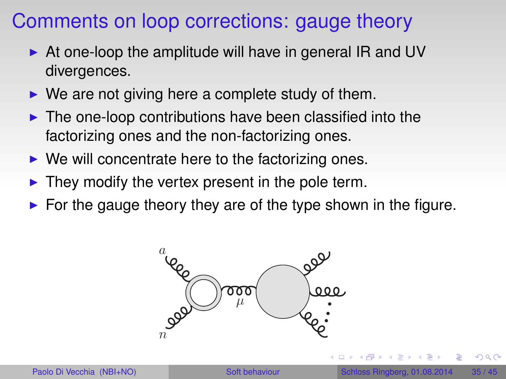### Comments on loop corrections: gauge theory

- $\triangleright$  At one-loop the amplitude will have in general IR and UV divergences.
- $\triangleright$  We are not giving here a complete study of them.
- $\blacktriangleright$  The one-loop contributions have been classified into the factorizing ones and the non-factorizing ones.
- $\triangleright$  We will concentrate here to the factorizing ones.
- $\blacktriangleright$  They modify the vertex present in the pole term.
- $\triangleright$  For the gauge theory they are of the type shown in the figure.



<span id="page-34-0"></span> $QQ$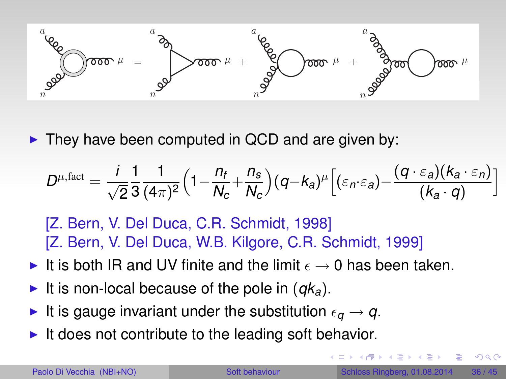

 $\triangleright$  They have been computed in QCD and are given by:

$$
D^{\mu,\text{fact}} = \frac{i}{\sqrt{2}} \frac{1}{3} \frac{1}{(4\pi)^2} \Big(1 - \frac{n_f}{N_c} + \frac{n_s}{N_c}\Big) (q - k_a)^{\mu} \Big[ (\varepsilon_n \cdot \varepsilon_a) - \frac{(q \cdot \varepsilon_a)(k_a \cdot \varepsilon_n)}{(k_a \cdot q)}\Big]
$$

[Z. Bern, V. Del Duca, C.R. Schmidt, 1998] [Z. Bern, V. Del Duca, W.B. Kilgore, C.R. Schmidt, 1999]

- It is both IR and UV finite and the limit  $\epsilon \to 0$  has been taken.
- It is non-local because of the pole in  $(qk_a)$ .
- It is gauge invariant under the substitution  $\epsilon_{q} \rightarrow q$ .
- It does not contribute to the leading soft behavior.

 $\Omega$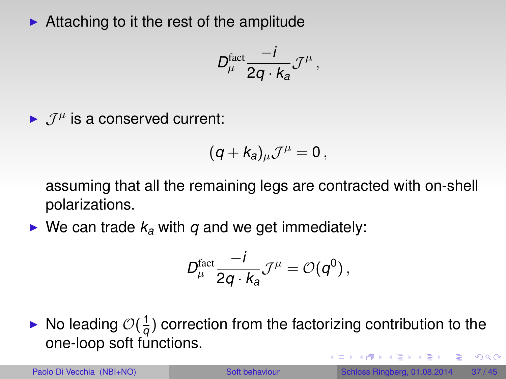$\blacktriangleright$  Attaching to it the rest of the amplitude

$$
D_\mu^{\text{fact}} \frac{-i}{2q \cdot k_a} \mathcal{J}^\mu \,,
$$

 $\blacktriangleright$   $\mathcal{J}^{\mu}$  is a conserved current:

$$
(q+k_a)_{\mu} \mathcal{J}^{\mu}=0\,,
$$

assuming that all the remaining legs are contracted with on-shell polarizations.

 $\triangleright$  We can trade  $k_a$  with  $q$  and we get immediately:

$$
D_\mu^{\text{fact}} \frac{-i}{2q \cdot k_a} \mathcal{J}^\mu = \mathcal{O}(q^0) \,,
$$

 $\blacktriangleright$  No leading  $\mathcal{O}(\frac{1}{q})$  $\frac{1}{q}$ ) correction from the factorizing contribution to the one-loop soft functions.

 $QQ$ 

イロト イ押ト イヨト イヨト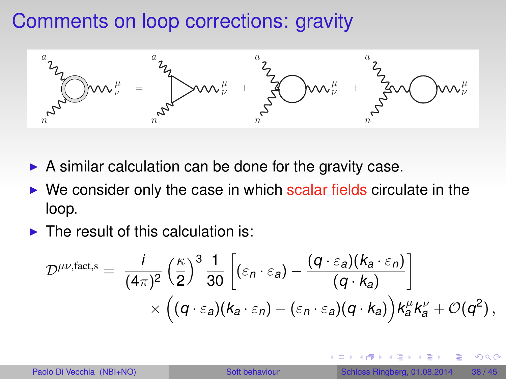## Comments on loop corrections: gravity



- $\triangleright$  A similar calculation can be done for the gravity case.
- $\triangleright$  We consider only the case in which scalar fields circulate in the loop.
- $\blacktriangleright$  The result of this calculation is:

$$
\mathcal{D}^{\mu\nu,\text{fact},s} = \frac{i}{(4\pi)^2} \left(\frac{\kappa}{2}\right)^3 \frac{1}{30} \left[ (\varepsilon_n \cdot \varepsilon_a) - \frac{(q \cdot \varepsilon_a)(k_a \cdot \varepsilon_n)}{(q \cdot k_a)} \right] \times \left( (q \cdot \varepsilon_a)(k_a \cdot \varepsilon_n) - (\varepsilon_n \cdot \varepsilon_a)(q \cdot k_a) \right) k_a^{\mu} k_a^{\nu} + \mathcal{O}(q^2),
$$

<span id="page-37-0"></span> $QQ$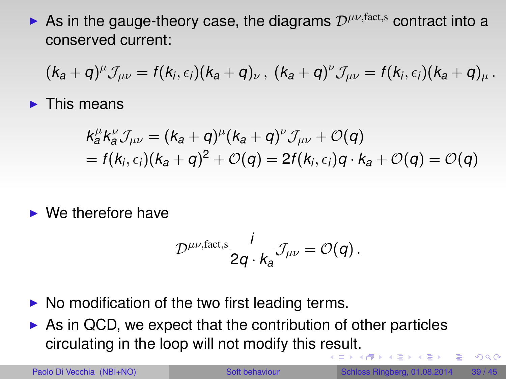As in the gauge-theory case, the diagrams  $\mathcal{D}^{\mu\nu,fact,s}$  contract into a conserved current:

$$
(k_a+q)^{\mu}\mathcal{J}_{\mu\nu}=f(k_i,\epsilon_i)(k_a+q)_{\nu}\,,~(k_a+q)^{\nu}\mathcal{J}_{\mu\nu}=f(k_i,\epsilon_i)(k_a+q)_{\mu}\,.
$$

 $\blacktriangleright$  This means

$$
k_a^{\mu}k_a^{\nu}\mathcal{J}_{\mu\nu} = (k_a + q)^{\mu}(k_a + q)^{\nu}\mathcal{J}_{\mu\nu} + \mathcal{O}(q)
$$
  
=  $f(k_i, \epsilon_i)(k_a + q)^2 + \mathcal{O}(q) = 2f(k_i, \epsilon_i)q \cdot k_a + \mathcal{O}(q) = \mathcal{O}(q)$ 

 $\blacktriangleright$  We therefore have

$$
\mathcal{D}^{\mu\nu,\text{fact,s}}\frac{i}{2q\cdot k_a}\mathcal{J}_{\mu\nu}=\mathcal{O}(q).
$$

- $\triangleright$  No modification of the two first leading terms.
- $\triangleright$  As in QCD, we expect that the contribution of other particles circulating in the loop will not modify this r[es](#page-37-0)[ult](#page-39-0)[.](#page-37-0)  $\mathcal{A}$   $\overline{\mathcal{B}}$   $\rightarrow$   $\mathcal{A}$   $\overline{\mathcal{B}}$   $\rightarrow$   $\mathcal{A}$   $\overline{\mathcal{B}}$

<span id="page-38-0"></span> $\Omega$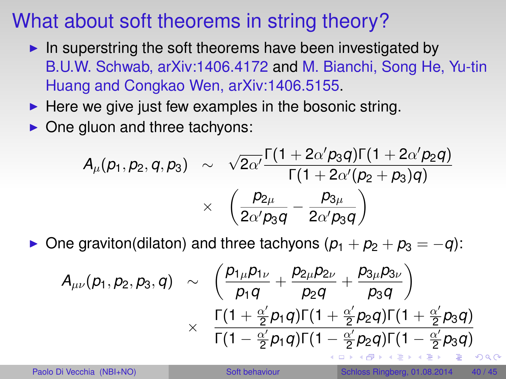## What about soft theorems in string theory?

- In superstring the soft theorems have been investigated by B.U.W. Schwab, arXiv:1406.4172 and M. Bianchi, Song He, Yu-tin Huang and Congkao Wen, arXiv:1406.5155.
- $\blacktriangleright$  Here we give just few examples in the bosonic string.
- $\triangleright$  One gluon and three tachyons:

$$
A_{\mu}(p_1, p_2, q, p_3) \sim \sqrt{2\alpha'} \frac{\Gamma(1+2\alpha' p_3 q) \Gamma(1+2\alpha' p_2 q)}{\Gamma(1+2\alpha'(p_2+p_3)q)} \\ \times \left(\frac{p_{2\mu}}{2\alpha' p_3 q} - \frac{p_{3\mu}}{2\alpha' p_3 q}\right)
$$

 $\triangleright$  One graviton(dilaton) and three tachyons  $(p_1 + p_2 + p_3 = -q)$ :

<span id="page-39-0"></span>
$$
A_{\mu\nu}(p_1, p_2, p_3, q) \sim \left(\frac{p_{1\mu}p_{1\nu}}{p_1q} + \frac{p_{2\mu}p_{2\nu}}{p_2q} + \frac{p_{3\mu}p_{3\nu}}{p_3q}\right) \times \frac{\Gamma(1 + \frac{\alpha'}{2}p_1q)\Gamma(1 + \frac{\alpha'}{2}p_2q)\Gamma(1 + \frac{\alpha'}{2}p_3q)}{\Gamma(1 - \frac{\alpha'}{2}p_1q)\Gamma(1 - \frac{\alpha'}{2}p_2q)\Gamma(1 - \frac{\alpha'}{2}p_3q)}
$$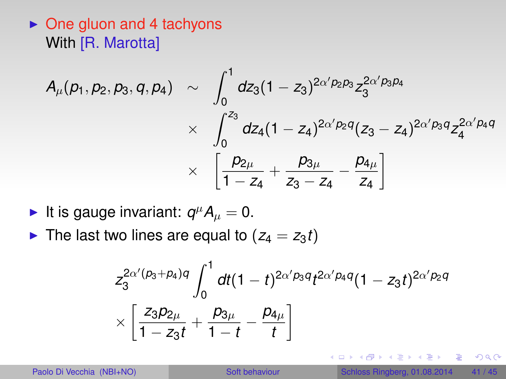### $\triangleright$  One gluon and 4 tachyons With [R. Marotta]

$$
A_{\mu}(p_1, p_2, p_3, q, p_4) \sim \int_0^1 dz_3 (1 - z_3)^{2\alpha' p_2 p_3} z_3^{2\alpha' p_3 p_4}
$$
  
 
$$
\times \int_0^{z_3} dz_4 (1 - z_4)^{2\alpha' p_2 q} (z_3 - z_4)^{2\alpha' p_3 q} z_4^{2\alpha' p_4 q}
$$
  
 
$$
\times \left[ \frac{p_{2\mu}}{1 - z_4} + \frac{p_{3\mu}}{z_3 - z_4} - \frac{p_{4\mu}}{z_4} \right]
$$

- It is gauge invariant:  $q^{\mu}A_{\mu}=0$ .
- In The last two lines are equal to  $(z_4 = z_3 t)$

$$
z_3^{2\alpha'(p_3+p_4)q}\int_0^1 dt(1-t)^{2\alpha'p_3q}t^{2\alpha'p_4q}(1-z_3t)^{2\alpha'p_2q}
$$
  
 
$$
\times \left[\frac{z_3p_{2\mu}}{1-z_3t} + \frac{p_{3\mu}}{1-t} - \frac{p_{4\mu}}{t}\right]
$$

 $\equiv$ 

<span id="page-40-0"></span> $2990$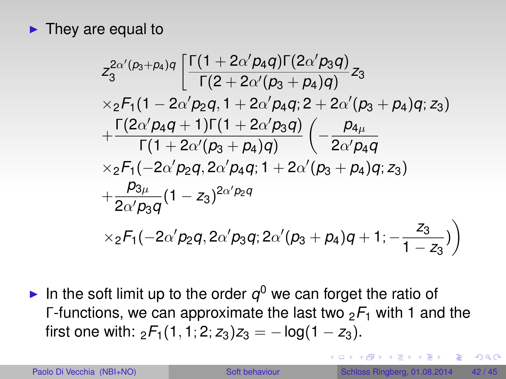$\blacktriangleright$  They are equal to

$$
z_3^{2\alpha' (p_3+p_4)q} \left[ \frac{\Gamma(1+2\alpha' p_4 q) \Gamma(2\alpha' p_3 q)}{\Gamma(2+2\alpha' (p_3+p_4) q)} z_3 \right. \\ \times {}_2F_1(1-2\alpha' p_2 q, 1+2\alpha' p_4 q; 2+2\alpha' (p_3+p_4) q; z_3) \\ + \frac{\Gamma(2\alpha' p_4 q+1) \Gamma(1+2\alpha' p_3 q)}{\Gamma(1+2\alpha' (p_3+p_4) q)} \left( -\frac{p_4 \mu}{2\alpha' p_4 q} \right. \\ \times {}_2F_1(-2\alpha' p_2 q, 2\alpha' p_4 q; 1+2\alpha' (p_3+p_4) q; z_3) \\ + \frac{p_3 \mu}{2\alpha' p_3 q} (1-z_3)^{2\alpha' p_2 q} \\ \times {}_2F_1(-2\alpha' p_2 q, 2\alpha' p_3 q; 2\alpha' (p_3+p_4) q+1; -\frac{z_3}{1-z_3}) \right)
$$

In the soft limit up to the order  $q^0$  we can forget the ratio of Γ-functions, we can approximate the last two  $2F_1$  with 1 and the first one with:  ${}_{2}F_{1}(1, 1; 2; z_{3})z_{3} = -\log(1 - z_{3}).$ 

 $\Rightarrow$ 

 $QQQ$ 

4 ロ ト 4 何 ト 4 ヨ ト 4 ヨ ト -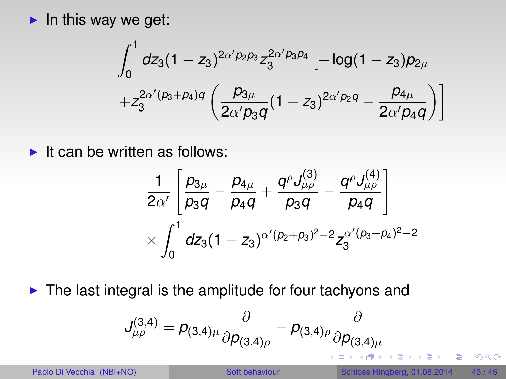$\blacktriangleright$  In this way we get:

$$
\int_0^1 dz_3 (1-z_3)^{2\alpha'p_2p_3} z_3^{2\alpha'p_3p_4} \left[-\log(1-z_3)p_{2\mu}\right.+z_3^{2\alpha'(p_3+p_4)q}\left(\frac{p_{3\mu}}{2\alpha'p_3q}(1-z_3)^{2\alpha'p_2q}-\frac{p_{4\mu}}{2\alpha'p_4q}\right)\right]
$$

 $\blacktriangleright$  It can be written as follows:

<span id="page-42-0"></span>
$$
\begin{aligned}&\frac{1}{2\alpha'}\left[\frac{\rho_{3\mu}}{\rho_3 q}-\frac{\rho_{4\mu}}{\rho_4 q}+\frac{q^\rho J^{(3)}_{\mu\rho}}{\rho_3 q}-\frac{q^\rho J^{(4)}_{\mu\rho}}{\rho_4 q}\right]\\&\times\int_0^1 dz_3(1-z_3)^{\alpha'(p_2+p_3)^2-2}z_3^{\alpha'(p_3+p_4)^2-2}\end{aligned}
$$

 $\blacktriangleright$  The last integral is the amplitude for four tachyons and

$$
J_{\mu\rho}^{(3,4)} = \rho_{(3,4)\mu} \frac{\partial}{\partial \rho_{(3,4)\rho}} - \rho_{(3,4)\rho} \frac{\partial}{\partial \rho_{(3,4)\mu}}
$$
\nPaolo Di Vecchia (NBI+NO)

\nSoft behavior

\nSchloss Ringberg, 01.08.2014

\n43/45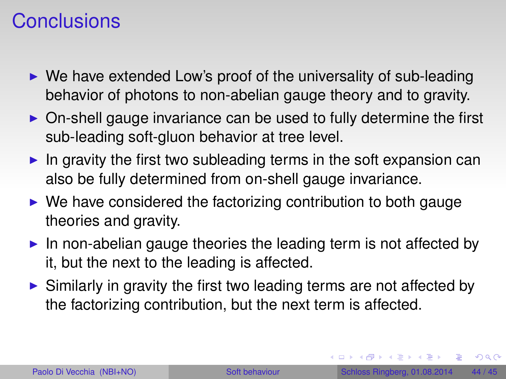### **Conclusions**

- $\triangleright$  We have extended Low's proof of the universality of sub-leading behavior of photons to non-abelian gauge theory and to gravity.
- $\triangleright$  On-shell gauge invariance can be used to fully determine the first sub-leading soft-gluon behavior at tree level.
- In gravity the first two subleading terms in the soft expansion can also be fully determined from on-shell gauge invariance.
- $\triangleright$  We have considered the factorizing contribution to both gauge theories and gravity.
- In non-abelian gauge theories the leading term is not affected by it, but the next to the leading is affected.
- $\triangleright$  Similarly in gravity the first two leading terms are not affected by the factorizing contribution, but the next term is affected.

<span id="page-43-0"></span> $QQ$ 

 $(0,1)$   $(0,1)$   $(0,1)$   $(1,1)$   $(1,1)$   $(1,1)$   $(1,1)$   $(1,1)$   $(1,1)$   $(1,1)$   $(1,1)$   $(1,1)$   $(1,1)$   $(1,1)$